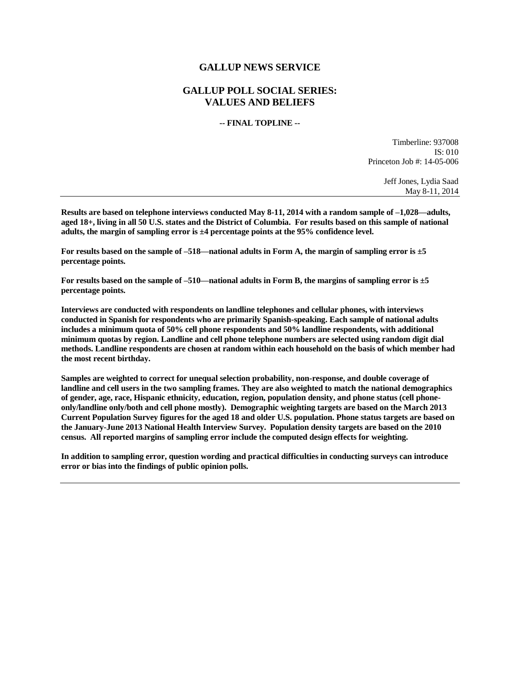## **GALLUP NEWS SERVICE**

## **GALLUP POLL SOCIAL SERIES: VALUES AND BELIEFS**

#### **-- FINAL TOPLINE --**

Timberline: 937008 IS: 010 Princeton Job #: 14-05-006

> Jeff Jones, Lydia Saad May 8-11, 2014

**Results are based on telephone interviews conducted May 8-11, 2014 with a random sample of –1,028—adults, aged 18+, living in all 50 U.S. states and the District of Columbia. For results based on this sample of national adults, the margin of sampling error is ±4 percentage points at the 95% confidence level.** 

**For results based on the sample of –518—national adults in Form A, the margin of sampling error is ±5 percentage points.**

**For results based on the sample of –510—national adults in Form B, the margins of sampling error is ±5 percentage points.**

**Interviews are conducted with respondents on landline telephones and cellular phones, with interviews conducted in Spanish for respondents who are primarily Spanish-speaking. Each sample of national adults includes a minimum quota of 50% cell phone respondents and 50% landline respondents, with additional minimum quotas by region. Landline and cell phone telephone numbers are selected using random digit dial methods. Landline respondents are chosen at random within each household on the basis of which member had the most recent birthday.**

**Samples are weighted to correct for unequal selection probability, non-response, and double coverage of landline and cell users in the two sampling frames. They are also weighted to match the national demographics of gender, age, race, Hispanic ethnicity, education, region, population density, and phone status (cell phoneonly/landline only/both and cell phone mostly). Demographic weighting targets are based on the March 2013 Current Population Survey figures for the aged 18 and older U.S. population. Phone status targets are based on the January-June 2013 National Health Interview Survey. Population density targets are based on the 2010 census. All reported margins of sampling error include the computed design effects for weighting.** 

**In addition to sampling error, question wording and practical difficulties in conducting surveys can introduce error or bias into the findings of public opinion polls.**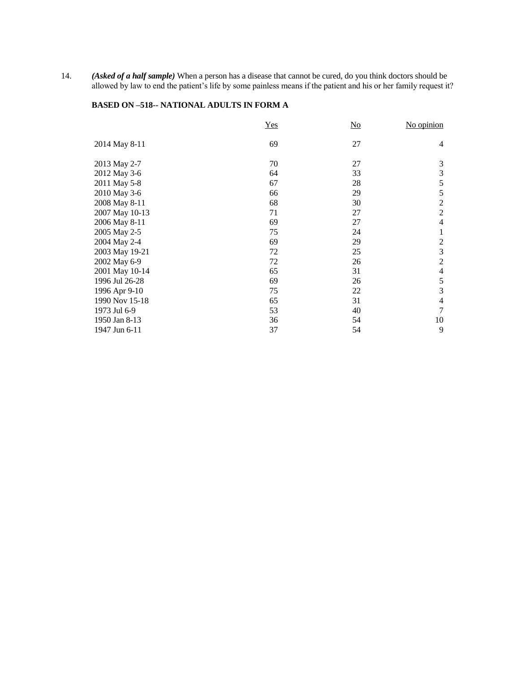14. *(Asked of a half sample)* When a person has a disease that cannot be cured, do you think doctors should be allowed by law to end the patient's life by some painless means if the patient and his or her family request it?

# **BASED ON –518-- NATIONAL ADULTS IN FORM A**

|                | Yes | $\underline{\mathrm{No}}$ | No opinion     |
|----------------|-----|---------------------------|----------------|
| 2014 May 8-11  | 69  | 27                        | $\overline{4}$ |
| 2013 May 2-7   | 70  | 27                        | 3              |
| 2012 May 3-6   | 64  | 33                        | 3              |
| 2011 May 5-8   | 67  | 28                        | 5              |
| 2010 May 3-6   | 66  | 29                        | 5              |
| 2008 May 8-11  | 68  | 30                        | $\overline{2}$ |
| 2007 May 10-13 | 71  | 27                        | $\overline{2}$ |
| 2006 May 8-11  | 69  | 27                        | $\overline{4}$ |
| 2005 May 2-5   | 75  | 24                        | 1              |
| 2004 May 2-4   | 69  | 29                        | $\overline{2}$ |
| 2003 May 19-21 | 72  | 25                        | 3              |
| 2002 May 6-9   | 72  | 26                        | $\overline{2}$ |
| 2001 May 10-14 | 65  | 31                        | $\overline{4}$ |
| 1996 Jul 26-28 | 69  | 26                        | 5              |
| 1996 Apr 9-10  | 75  | 22                        | 3              |
| 1990 Nov 15-18 | 65  | 31                        | $\overline{4}$ |
| 1973 Jul 6-9   | 53  | 40                        | $\tau$         |
| 1950 Jan 8-13  | 36  | 54                        | 10             |
| 1947 Jun 6-11  | 37  | 54                        | 9              |